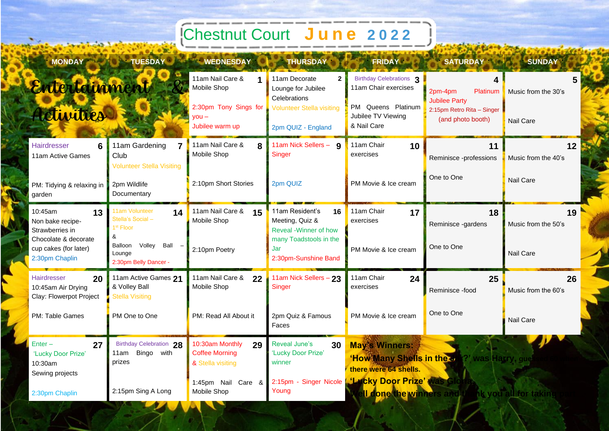## **Chestnut Court** June 2022

| <b>MONDAY</b>                                                             | <b>TUESDAY</b>                                                     | <b>WEDNESDAY</b>                                                    | <b>THURSDAY</b>                                                     | <b>FRIDAY</b>                                                                    | SATURDAY <b>NO</b>                              | <b>SUNDAY</b>             |
|---------------------------------------------------------------------------|--------------------------------------------------------------------|---------------------------------------------------------------------|---------------------------------------------------------------------|----------------------------------------------------------------------------------|-------------------------------------------------|---------------------------|
| Entertainment                                                             |                                                                    | 11am Nail Care &<br>Mobile Shop                                     | 11am Decorate<br>$\mathbf{2}$<br>Lounge for Jubilee<br>Celebrations | Birthday Celebrations <sub>3</sub><br>11am Chair exercises                       | 2pm-4pm<br>Platinum<br><b>Jubilee Party</b>     | Music from the 30's       |
| Activities                                                                |                                                                    | 2:30pm Tony Sings for<br>$vou -$<br>Jubilee warm up                 | <b>Volunteer Stella visiting</b><br>2pm QUIZ - England              | PM Queens Platinum<br>Jubilee TV Viewing<br>& Nail Care                          | 2:15pm Retro Rita - Singer<br>(and photo booth) | Nail Care                 |
| Hairdresser<br>6<br>11am Active Games                                     | 11am Gardening<br>Club<br><b>Volunteer Stella Visiting</b>         | 11am Nail Care &<br>8<br>Mobile Shop                                | 11am Nick Sellers - 9<br>Singer                                     | 11am Chair<br>10<br>exercises                                                    | 11<br>Reminisce -professions                    | 12<br>Music from the 40's |
| PM: Tidying & relaxing in<br>garden                                       | 2pm Wildlife<br>Documentary                                        | 2:10pm Short Stories                                                | 2pm QUIZ                                                            | PM Movie & Ice cream                                                             | One to One                                      | Nail Care                 |
| 10:45am<br>13<br>Non bake recipe-<br>Strawberries in                      | 11am Volunteer<br>14<br>Stella's Social -<br>1 <sup>st</sup> Floor | 11am Nail Care &<br>15<br>Mobile Shop                               | 11am Resident's<br>16<br>Meeting, Quiz &<br>Reveal -Winner of how   | 11am Chair<br>17<br>exercises                                                    | 18<br>Reminisce -gardens                        | 19<br>Music from the 50's |
| Chocolate & decorate<br>cup cakes (for later)<br>2:30pm Chaplin           | &<br>Volley<br>Ball<br>Balloon<br>Lounge<br>2:30pm Belly Dancer -  | 2:10pm Poetry                                                       | many Toadstools in the<br>Jar<br>2:30pm-Sunshine Band               | PM Movie & Ice cream                                                             | One to One                                      | <b>Nail Care</b>          |
| <b>Hairdresser</b><br>20<br>10:45am Air Drying<br>Clay: Flowerpot Project | 11am Active Games 21<br>& Volley Ball<br><b>Stella Visiting</b>    | 11am Nail Care &<br>22<br>Mobile Shop                               | 11am Nick Sellers - 23<br>Singer                                    | 11am Chair<br>24<br>exercises                                                    | 25<br>Reminisce -food                           | 26<br>Music from the 60's |
| PM: Table Games                                                           | PM One to One                                                      | PM: Read All About it                                               | 2pm Quiz & Famous<br>Faces                                          | PM Movie & Ice cream                                                             | One to One                                      | Nail Care                 |
| $Enter -$<br>27<br>'Lucky Door Prize'<br>10:30am                          | Birthday Celebration 28<br>Bingo with<br>11am<br>prizes            | 10:30am Monthly<br>29<br><b>Coffee Morning</b><br>& Stella visiting | Reveal June's<br>30<br>'Lucky Door Prize'<br>winner                 | <b>May's Winners:</b><br>there were 64 shells.                                   | 'How'Many Shells in the Uni?' was Harry, guess  |                           |
| Sewing projects<br>2:30pm Chaplin                                         | 2:15pm Sing A Long                                                 | 1:45pm Nail Care &<br>Mobile Shop                                   | Young                                                               | 2:15pm - Singer Nicole L'Lucky Door Prize'<br><b>II done the winners and the</b> |                                                 | hk you all for taking     |

 $\mathcal{Q}$ 

**COL** 

7